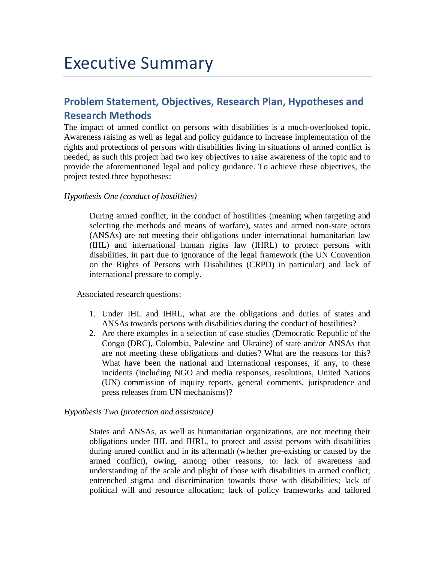# Executive Summary

# **Problem Statement, Objectives, Research Plan, Hypotheses and Research Methods**

The impact of armed conflict on persons with disabilities is a much-overlooked topic. Awareness raising as well as legal and policy guidance to increase implementation of the rights and protections of persons with disabilities living in situations of armed conflict is needed, as such this project had two key objectives to raise awareness of the topic and to provide the aforementioned legal and policy guidance. To achieve these objectives, the project tested three hypotheses:

## *Hypothesis One (conduct of hostilities)*

During armed conflict, in the conduct of hostilities (meaning when targeting and selecting the methods and means of warfare), states and armed non-state actors (ANSAs) are not meeting their obligations under international humanitarian law (IHL) and international human rights law (IHRL) to protect persons with disabilities, in part due to ignorance of the legal framework (the UN Convention on the Rights of Persons with Disabilities (CRPD) in particular) and lack of international pressure to comply.

Associated research questions:

- 1. Under IHL and IHRL, what are the obligations and duties of states and ANSAs towards persons with disabilities during the conduct of hostilities?
- 2. Are there examples in a selection of case studies (Democratic Republic of the Congo (DRC), Colombia, Palestine and Ukraine) of state and/or ANSAs that are not meeting these obligations and duties? What are the reasons for this? What have been the national and international responses, if any, to these incidents (including NGO and media responses, resolutions, United Nations (UN) commission of inquiry reports, general comments, jurisprudence and press releases from UN mechanisms)?

#### *Hypothesis Two (protection and assistance)*

States and ANSAs, as well as humanitarian organizations, are not meeting their obligations under IHL and IHRL, to protect and assist persons with disabilities during armed conflict and in its aftermath (whether pre-existing or caused by the armed conflict), owing, among other reasons, to: lack of awareness and understanding of the scale and plight of those with disabilities in armed conflict; entrenched stigma and discrimination towards those with disabilities; lack of political will and resource allocation; lack of policy frameworks and tailored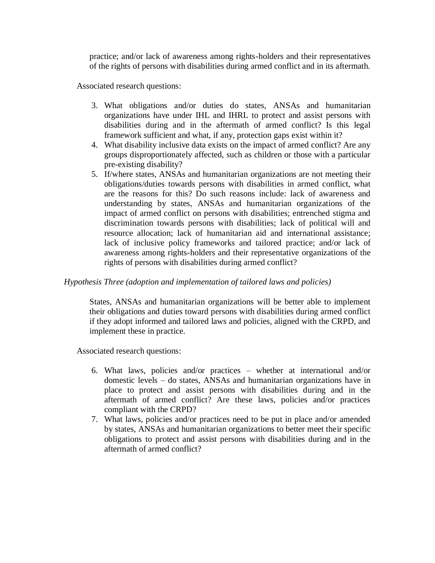practice; and/or lack of awareness among rights-holders and their representatives of the rights of persons with disabilities during armed conflict and in its aftermath.

Associated research questions:

- 3. What obligations and/or duties do states, ANSAs and humanitarian organizations have under IHL and IHRL to protect and assist persons with disabilities during and in the aftermath of armed conflict? Is this legal framework sufficient and what, if any, protection gaps exist within it?
- 4. What disability inclusive data exists on the impact of armed conflict? Are any groups disproportionately affected, such as children or those with a particular pre-existing disability?
- 5. If/where states, ANSAs and humanitarian organizations are not meeting their obligations/duties towards persons with disabilities in armed conflict, what are the reasons for this? Do such reasons include: lack of awareness and understanding by states, ANSAs and humanitarian organizations of the impact of armed conflict on persons with disabilities; entrenched stigma and discrimination towards persons with disabilities; lack of political will and resource allocation; lack of humanitarian aid and international assistance; lack of inclusive policy frameworks and tailored practice; and/or lack of awareness among rights-holders and their representative organizations of the rights of persons with disabilities during armed conflict?

# *Hypothesis Three (adoption and implementation of tailored laws and policies)*

States, ANSAs and humanitarian organizations will be better able to implement their obligations and duties toward persons with disabilities during armed conflict if they adopt informed and tailored laws and policies, aligned with the CRPD, and implement these in practice.

Associated research questions:

- 6. What laws, policies and/or practices whether at international and/or domestic levels – do states, ANSAs and humanitarian organizations have in place to protect and assist persons with disabilities during and in the aftermath of armed conflict? Are these laws, policies and/or practices compliant with the CRPD?
- 7. What laws, policies and/or practices need to be put in place and/or amended by states, ANSAs and humanitarian organizations to better meet their specific obligations to protect and assist persons with disabilities during and in the aftermath of armed conflict?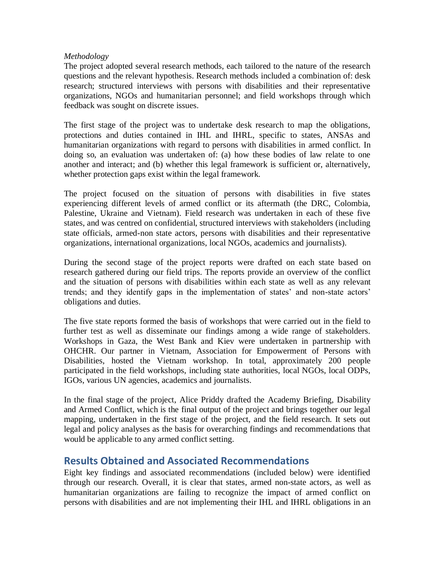## *Methodology*

The project adopted several research methods, each tailored to the nature of the research questions and the relevant hypothesis. Research methods included a combination of: desk research; structured interviews with persons with disabilities and their representative organizations, NGOs and humanitarian personnel; and field workshops through which feedback was sought on discrete issues.

The first stage of the project was to undertake desk research to map the obligations, protections and duties contained in IHL and IHRL, specific to states, ANSAs and humanitarian organizations with regard to persons with disabilities in armed conflict. In doing so, an evaluation was undertaken of: (a) how these bodies of law relate to one another and interact; and (b) whether this legal framework is sufficient or, alternatively, whether protection gaps exist within the legal framework.

The project focused on the situation of persons with disabilities in five states experiencing different levels of armed conflict or its aftermath (the DRC, Colombia, Palestine, Ukraine and Vietnam). Field research was undertaken in each of these five states, and was centred on confidential, structured interviews with stakeholders (including state officials, armed-non state actors, persons with disabilities and their representative organizations, international organizations, local NGOs, academics and journalists).

During the second stage of the project reports were drafted on each state based on research gathered during our field trips. The reports provide an overview of the conflict and the situation of persons with disabilities within each state as well as any relevant trends; and they identify gaps in the implementation of states' and non-state actors' obligations and duties.

The five state reports formed the basis of workshops that were carried out in the field to further test as well as disseminate our findings among a wide range of stakeholders. Workshops in Gaza, the West Bank and Kiev were undertaken in partnership with OHCHR. Our partner in Vietnam, Association for Empowerment of Persons with Disabilities, hosted the Vietnam workshop. In total, approximately 200 people participated in the field workshops, including state authorities, local NGOs, local ODPs, IGOs, various UN agencies, academics and journalists.

In the final stage of the project, Alice Priddy drafted the Academy Briefing, Disability and Armed Conflict, which is the final output of the project and brings together our legal mapping, undertaken in the first stage of the project, and the field research. It sets out legal and policy analyses as the basis for overarching findings and recommendations that would be applicable to any armed conflict setting.

# **Results Obtained and Associated Recommendations**

Eight key findings and associated recommendations (included below) were identified through our research. Overall, it is clear that states, armed non-state actors, as well as humanitarian organizations are failing to recognize the impact of armed conflict on persons with disabilities and are not implementing their IHL and IHRL obligations in an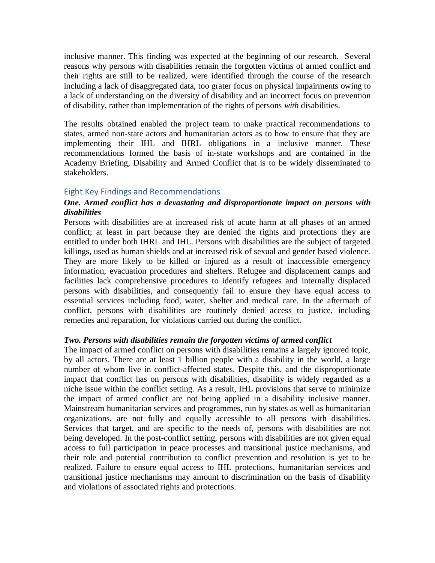inclusive manner. This finding was expected at the beginning of our research. Several reasons why persons with disabilities remain the forgotten victims of armed conflict and their rights are still to be realized, were identified through the course of the research including a lack of disaggregated data, too grater focus on physical impairments owing to a lack of understanding on the diversity of disability and an incorrect focus on prevention of disability, rather than implementation of the rights of persons *with* disabilities.

The results obtained enabled the project team to make practical recommendations to states, armed non-state actors and humanitarian actors as to how to ensure that they are implementing their IHL and IHRL obligations in a inclusive manner. These recommendations formed the basis of in-state workshops and are contained in the Academy Briefing, Disability and Armed Conflict that is to be widely disseminated to stakeholders.

## Eight Key Findings and Recommendations

# *One. Armed conflict has a devastating and disproportionate impact on persons with disabilities*

Persons with disabilities are at increased risk of acute harm at all phases of an armed conflict; at least in part because they are denied the rights and protections they are entitled to under both IHRL and IHL. Persons with disabilities are the subject of targeted killings, used as human shields and at increased risk of sexual and gender based violence. They are more likely to be killed or injured as a result of inaccessible emergency information, evacuation procedures and shelters. Refugee and displacement camps and facilities lack comprehensive procedures to identify refugees and internally displaced persons with disabilities, and consequently fail to ensure they have equal access to essential services including food, water, shelter and medical care. In the aftermath of conflict, persons with disabilities are routinely denied access to justice, including remedies and reparation, for violations carried out during the conflict.

#### *Two. Persons with disabilities remain the forgotten victims of armed conflict*

The impact of armed conflict on persons with disabilities remains a largely ignored topic, by all actors. There are at least 1 billion people with a disability in the world, a large number of whom live in conflict-affected states. Despite this, and the disproportionate impact that conflict has on persons with disabilities, disability is widely regarded as a niche issue within the conflict setting. As a result, IHL provisions that serve to minimize the impact of armed conflict are not being applied in a disability inclusive manner. Mainstream humanitarian services and programmes, run by states as well as humanitarian organizations, are not fully and equally accessible to all persons with disabilities. Services that target, and are specific to the needs of, persons with disabilities are not being developed. In the post-conflict setting, persons with disabilities are not given equal access to full participation in peace processes and transitional justice mechanisms, and their role and potential contribution to conflict prevention and resolution is yet to be realized. Failure to ensure equal access to IHL protections, humanitarian services and transitional justice mechanisms may amount to discrimination on the basis of disability and violations of associated rights and protections.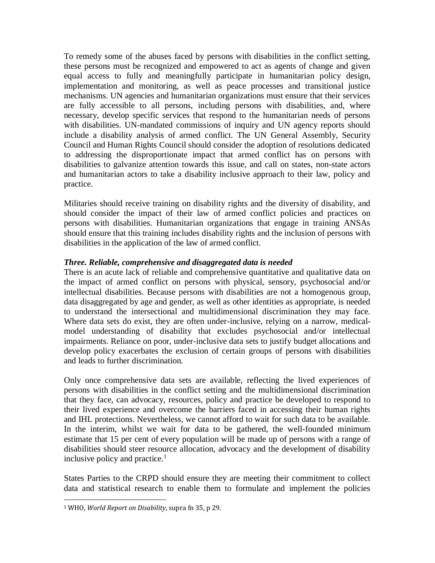To remedy some of the abuses faced by persons with disabilities in the conflict setting, these persons must be recognized and empowered to act as agents of change and given equal access to fully and meaningfully participate in humanitarian policy design, implementation and monitoring, as well as peace processes and transitional justice mechanisms. UN agencies and humanitarian organizations must ensure that their services are fully accessible to all persons, including persons with disabilities, and, where necessary, develop specific services that respond to the humanitarian needs of persons with disabilities. UN-mandated commissions of inquiry and UN agency reports should include a disability analysis of armed conflict. The UN General Assembly, Security Council and Human Rights Council should consider the adoption of resolutions dedicated to addressing the disproportionate impact that armed conflict has on persons with disabilities to galvanize attention towards this issue, and call on states, non-state actors and humanitarian actors to take a disability inclusive approach to their law, policy and practice.

Militaries should receive training on disability rights and the diversity of disability, and should consider the impact of their law of armed conflict policies and practices on persons with disabilities. Humanitarian organizations that engage in training ANSAs should ensure that this training includes disability rights and the inclusion of persons with disabilities in the application of the law of armed conflict.

# *Three. Reliable, comprehensive and disaggregated data is needed*

There is an acute lack of reliable and comprehensive quantitative and qualitative data on the impact of armed conflict on persons with physical, sensory, psychosocial and/or intellectual disabilities. Because persons with disabilities are not a homogenous group, data disaggregated by age and gender, as well as other identities as appropriate, is needed to understand the intersectional and multidimensional discrimination they may face. Where data sets do exist, they are often under-inclusive, relying on a narrow, medicalmodel understanding of disability that excludes psychosocial and/or intellectual impairments. Reliance on poor, under-inclusive data sets to justify budget allocations and develop policy exacerbates the exclusion of certain groups of persons with disabilities and leads to further discrimination.

Only once comprehensive data sets are available, reflecting the lived experiences of persons with disabilities in the conflict setting and the multidimensional discrimination that they face, can advocacy, resources, policy and practice be developed to respond to their lived experience and overcome the barriers faced in accessing their human rights and IHL protections. Nevertheless, we cannot afford to wait for such data to be available. In the interim, whilst we wait for data to be gathered, the well-founded minimum estimate that 15 per cent of every population will be made up of persons with a range of disabilities should steer resource allocation, advocacy and the development of disability inclusive policy and practice.<sup>1</sup>

States Parties to the CRPD should ensure they are meeting their commitment to collect data and statistical research to enable them to formulate and implement the policies

l <sup>1</sup> WHO, *World Report on Disability*, supra fn 35, p 29.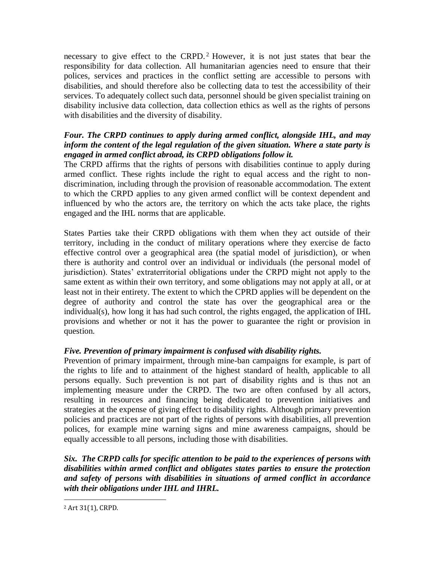necessary to give effect to the CRPD.<sup>2</sup> However, it is not just states that bear the responsibility for data collection. All humanitarian agencies need to ensure that their polices, services and practices in the conflict setting are accessible to persons with disabilities, and should therefore also be collecting data to test the accessibility of their services. To adequately collect such data, personnel should be given specialist training on disability inclusive data collection, data collection ethics as well as the rights of persons with disabilities and the diversity of disability.

# *Four. The CRPD continues to apply during armed conflict, alongside IHL, and may inform the content of the legal regulation of the given situation. Where a state party is engaged in armed conflict abroad, its CRPD obligations follow it.*

The CRPD affirms that the rights of persons with disabilities continue to apply during armed conflict. These rights include the right to equal access and the right to nondiscrimination, including through the provision of reasonable accommodation. The extent to which the CRPD applies to any given armed conflict will be context dependent and influenced by who the actors are, the territory on which the acts take place, the rights engaged and the IHL norms that are applicable.

States Parties take their CRPD obligations with them when they act outside of their territory, including in the conduct of military operations where they exercise de facto effective control over a geographical area (the spatial model of jurisdiction), or when there is authority and control over an individual or individuals (the personal model of jurisdiction). States' extraterritorial obligations under the CRPD might not apply to the same extent as within their own territory, and some obligations may not apply at all, or at least not in their entirety. The extent to which the CPRD applies will be dependent on the degree of authority and control the state has over the geographical area or the individual(s), how long it has had such control, the rights engaged, the application of IHL provisions and whether or not it has the power to guarantee the right or provision in question.

# *Five. Prevention of primary impairment is confused with disability rights.*

Prevention of primary impairment, through mine-ban campaigns for example, is part of the rights to life and to attainment of the highest standard of health, applicable to all persons equally. Such prevention is not part of disability rights and is thus not an implementing measure under the CRPD. The two are often confused by all actors, resulting in resources and financing being dedicated to prevention initiatives and strategies at the expense of giving effect to disability rights. Although primary prevention policies and practices are not part of the rights of persons with disabilities, all prevention polices, for example mine warning signs and mine awareness campaigns, should be equally accessible to all persons, including those with disabilities.

*Six. The CRPD calls for specific attention to be paid to the experiences of persons with disabilities within armed conflict and obligates states parties to ensure the protection and safety of persons with disabilities in situations of armed conflict in accordance with their obligations under IHL and IHRL.* 

l

<sup>2</sup> Art 31(1), CRPD.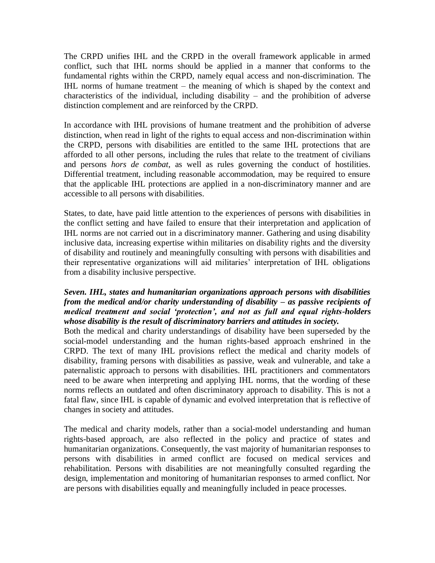The CRPD unifies IHL and the CRPD in the overall framework applicable in armed conflict, such that IHL norms should be applied in a manner that conforms to the fundamental rights within the CRPD, namely equal access and non-discrimination. The IHL norms of humane treatment – the meaning of which is shaped by the context and characteristics of the individual, including disability – and the prohibition of adverse distinction complement and are reinforced by the CRPD.

In accordance with IHL provisions of humane treatment and the prohibition of adverse distinction, when read in light of the rights to equal access and non-discrimination within the CRPD, persons with disabilities are entitled to the same IHL protections that are afforded to all other persons, including the rules that relate to the treatment of civilians and persons *hors de combat*, as well as rules governing the conduct of hostilities. Differential treatment, including reasonable accommodation, may be required to ensure that the applicable IHL protections are applied in a non-discriminatory manner and are accessible to all persons with disabilities.

States, to date, have paid little attention to the experiences of persons with disabilities in the conflict setting and have failed to ensure that their interpretation and application of IHL norms are not carried out in a discriminatory manner. Gathering and using disability inclusive data, increasing expertise within militaries on disability rights and the diversity of disability and routinely and meaningfully consulting with persons with disabilities and their representative organizations will aid militaries' interpretation of IHL obligations from a disability inclusive perspective.

# *Seven. IHL, states and humanitarian organizations approach persons with disabilities from the medical and/or charity understanding of disability – as passive recipients of medical treatment and social 'protection', and not as full and equal rights-holders whose disability is the result of discriminatory barriers and attitudes in society.*

Both the medical and charity understandings of disability have been superseded by the social-model understanding and the human rights-based approach enshrined in the CRPD. The text of many IHL provisions reflect the medical and charity models of disability, framing persons with disabilities as passive, weak and vulnerable, and take a paternalistic approach to persons with disabilities. IHL practitioners and commentators need to be aware when interpreting and applying IHL norms, that the wording of these norms reflects an outdated and often discriminatory approach to disability. This is not a fatal flaw, since IHL is capable of dynamic and evolved interpretation that is reflective of changes in society and attitudes.

The medical and charity models, rather than a social-model understanding and human rights-based approach, are also reflected in the policy and practice of states and humanitarian organizations. Consequently, the vast majority of humanitarian responses to persons with disabilities in armed conflict are focused on medical services and rehabilitation. Persons with disabilities are not meaningfully consulted regarding the design, implementation and monitoring of humanitarian responses to armed conflict. Nor are persons with disabilities equally and meaningfully included in peace processes.